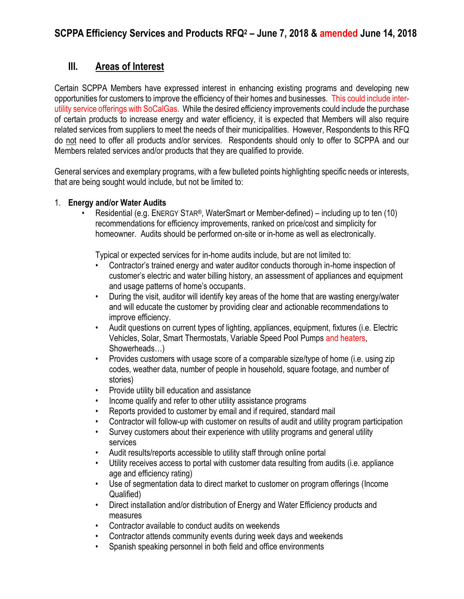# **III. Areas of Interest**

Certain SCPPA Members have expressed interest in enhancing existing programs and developing new opportunities for customers to improve the efficiency of their homes and businesses. This could include interutility service offerings with SoCalGas. While the desired efficiency improvements could include the purchase of certain products to increase energy and water efficiency, it is expected that Members will also require related services from suppliers to meet the needs of their municipalities. However, Respondents to this RFQ do not need to offer all products and/or services. Respondents should only to offer to SCPPA and our Members related services and/or products that they are qualified to provide.

General services and exemplary programs, with a few bulleted points highlighting specific needs or interests, that are being sought would include, but not be limited to:

## 1. **Energy and/or Water Audits**

• Residential (e.g. ENERGY STAR®, WaterSmart or Member-defined) – including up to ten (10) recommendations for efficiency improvements, ranked on price/cost and simplicity for homeowner. Audits should be performed on-site or in-home as well as electronically.

Typical or expected services for in-home audits include, but are not limited to:

- Contractor's trained energy and water auditor conducts thorough in-home inspection of customer's electric and water billing history, an assessment of appliances and equipment and usage patterns of home's occupants.
- During the visit, auditor will identify key areas of the home that are wasting energy/water and will educate the customer by providing clear and actionable recommendations to improve efficiency.
- Audit questions on current types of lighting, appliances, equipment, fixtures (i.e. Electric Vehicles, Solar, Smart Thermostats, Variable Speed Pool Pumps and heaters, Showerheads…)
- Provides customers with usage score of a comparable size/type of home (i.e. using zip codes, weather data, number of people in household, square footage, and number of stories)
- Provide utility bill education and assistance
- Income qualify and refer to other utility assistance programs
- Reports provided to customer by email and if required, standard mail
- Contractor will follow-up with customer on results of audit and utility program participation
- Survey customers about their experience with utility programs and general utility services
- Audit results/reports accessible to utility staff through online portal
- Utility receives access to portal with customer data resulting from audits (i.e. appliance age and efficiency rating)
- Use of segmentation data to direct market to customer on program offerings (Income Qualified)
- Direct installation and/or distribution of Energy and Water Efficiency products and measures
- Contractor available to conduct audits on weekends
- Contractor attends community events during week days and weekends
- Spanish speaking personnel in both field and office environments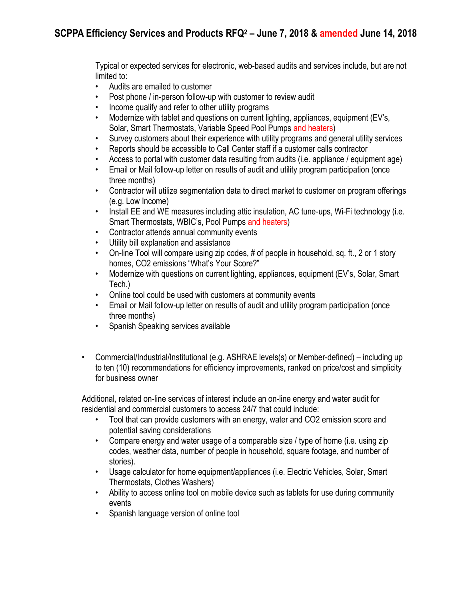Typical or expected services for electronic, web-based audits and services include, but are not limited to:

- Audits are emailed to customer
- Post phone / in-person follow-up with customer to review audit
- Income qualify and refer to other utility programs
- Modernize with tablet and questions on current lighting, appliances, equipment (EV's, Solar, Smart Thermostats, Variable Speed Pool Pumps and heaters)
- Survey customers about their experience with utility programs and general utility services
- Reports should be accessible to Call Center staff if a customer calls contractor
- Access to portal with customer data resulting from audits (i.e. appliance / equipment age)
- Email or Mail follow-up letter on results of audit and utility program participation (once three months)
- Contractor will utilize segmentation data to direct market to customer on program offerings (e.g. Low Income)
- Install EE and WE measures including attic insulation, AC tune-ups, Wi-Fi technology (i.e. Smart Thermostats, WBIC's, Pool Pumps and heaters)
- Contractor attends annual community events
- Utility bill explanation and assistance
- On-line Tool will compare using zip codes, # of people in household, sq. ft., 2 or 1 story homes, CO2 emissions "What's Your Score?"
- Modernize with questions on current lighting, appliances, equipment (EV's, Solar, Smart Tech.)
- Online tool could be used with customers at community events
- Email or Mail follow-up letter on results of audit and utility program participation (once three months)
- Spanish Speaking services available
- Commercial/Industrial/Institutional (e.g. ASHRAE levels(s) or Member-defined) including up to ten (10) recommendations for efficiency improvements, ranked on price/cost and simplicity for business owner

Additional, related on-line services of interest include an on-line energy and water audit for residential and commercial customers to access 24/7 that could include:

- Tool that can provide customers with an energy, water and CO2 emission score and potential saving considerations
- Compare energy and water usage of a comparable size / type of home (i.e. using zip codes, weather data, number of people in household, square footage, and number of stories).
- Usage calculator for home equipment/appliances (i.e. Electric Vehicles, Solar, Smart Thermostats, Clothes Washers)
- Ability to access online tool on mobile device such as tablets for use during community events
- Spanish language version of online tool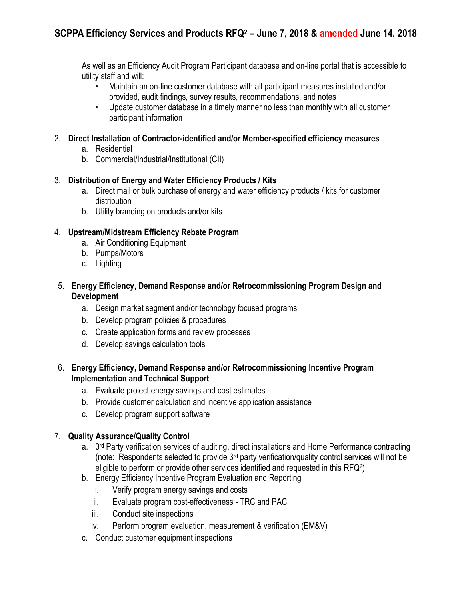As well as an Efficiency Audit Program Participant database and on-line portal that is accessible to utility staff and will:

- Maintain an on-line customer database with all participant measures installed and/or provided, audit findings, survey results, recommendations, and notes
- Update customer database in a timely manner no less than monthly with all customer participant information
- 2. **Direct Installation of Contractor-identified and/or Member-specified efficiency measures**
	- a. Residential
	- b. Commercial/Industrial/Institutional (CII)

## 3. **Distribution of Energy and Water Efficiency Products / Kits**

- a. Direct mail or bulk purchase of energy and water efficiency products / kits for customer distribution
- b. Utility branding on products and/or kits

# 4. **Upstream/Midstream Efficiency Rebate Program**

- a. Air Conditioning Equipment
- b. Pumps/Motors
- c. Lighting
- 5. **Energy Efficiency, Demand Response and/or Retrocommissioning Program Design and Development**
	- a. Design market segment and/or technology focused programs
	- b. Develop program policies & procedures
	- c. Create application forms and review processes
	- d. Develop savings calculation tools

## 6. **Energy Efficiency, Demand Response and/or Retrocommissioning Incentive Program Implementation and Technical Support**

- a. Evaluate project energy savings and cost estimates
- b. Provide customer calculation and incentive application assistance
- c. Develop program support software

# 7. **Quality Assurance/Quality Control**

- a. 3<sup>rd</sup> Party verification services of auditing, direct installations and Home Performance contracting (note: Respondents selected to provide 3rd party verification/quality control services will not be eligible to perform or provide other services identified and requested in this RFQ<sup>2</sup> )
- b. Energy Efficiency Incentive Program Evaluation and Reporting
	- i. Verify program energy savings and costs
	- ii. Evaluate program cost-effectiveness TRC and PAC
	- iii. Conduct site inspections
	- iv. Perform program evaluation, measurement & verification (EM&V)
- c. Conduct customer equipment inspections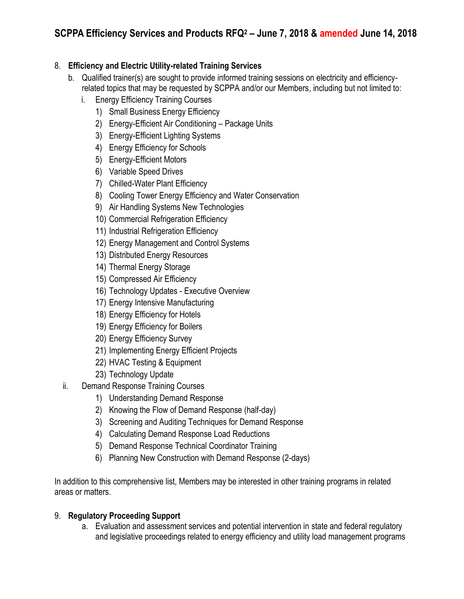# 8. **Efficiency and Electric Utility-related Training Services**

- b. Qualified trainer(s) are sought to provide informed training sessions on electricity and efficiencyrelated topics that may be requested by SCPPA and/or our Members, including but not limited to:
	- i. Energy Efficiency Training Courses
		- 1) Small Business Energy Efficiency
		- 2) Energy-Efficient Air Conditioning Package Units
		- 3) Energy-Efficient Lighting Systems
		- 4) Energy Efficiency for Schools
		- 5) Energy-Efficient Motors
		- 6) Variable Speed Drives
		- 7) Chilled-Water Plant Efficiency
		- 8) Cooling Tower Energy Efficiency and Water Conservation
		- 9) Air Handling Systems New Technologies
		- 10) Commercial Refrigeration Efficiency
		- 11) Industrial Refrigeration Efficiency
		- 12) Energy Management and Control Systems
		- 13) Distributed Energy Resources
		- 14) Thermal Energy Storage
		- 15) Compressed Air Efficiency
		- 16) Technology Updates Executive Overview
		- 17) Energy Intensive Manufacturing
		- 18) Energy Efficiency for Hotels
		- 19) Energy Efficiency for Boilers
		- 20) Energy Efficiency Survey
		- 21) Implementing Energy Efficient Projects
		- 22) HVAC Testing & Equipment
		- 23) Technology Update
- ii. Demand Response Training Courses
	- 1) Understanding Demand Response
	- 2) Knowing the Flow of Demand Response (half-day)
	- 3) Screening and Auditing Techniques for Demand Response
	- 4) Calculating Demand Response Load Reductions
	- 5) Demand Response Technical Coordinator Training
	- 6) Planning New Construction with Demand Response (2-days)

In addition to this comprehensive list, Members may be interested in other training programs in related areas or matters.

# 9. **Regulatory Proceeding Support**

a. Evaluation and assessment services and potential intervention in state and federal regulatory and legislative proceedings related to energy efficiency and utility load management programs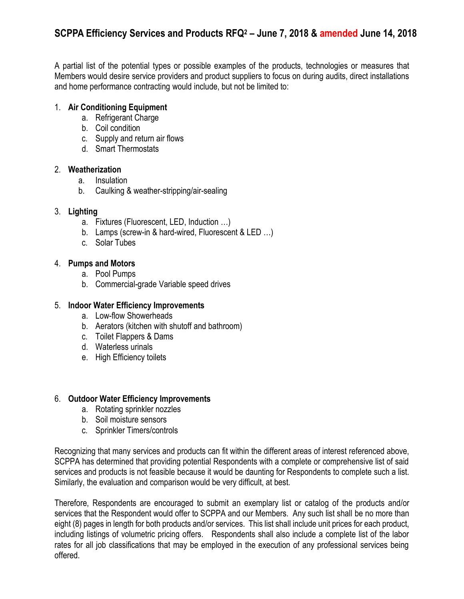# **SCPPA Efficiency Services and Products RFQ<sup>2</sup> – June 7, 2018 & amended June 14, 2018**

A partial list of the potential types or possible examples of the products, technologies or measures that Members would desire service providers and product suppliers to focus on during audits, direct installations and home performance contracting would include, but not be limited to:

### 1. **Air Conditioning Equipment**

- a. Refrigerant Charge
- b. Coil condition
- c. Supply and return air flows
- d. Smart Thermostats

### 2. **Weatherization**

- a. Insulation
- b. Caulking & weather-stripping/air-sealing

## 3. **Lighting**

- a. Fixtures (Fluorescent, LED, Induction …)
- b. Lamps (screw-in & hard-wired, Fluorescent & LED …)
- c. Solar Tubes

### 4. **Pumps and Motors**

- a. Pool Pumps
- b. Commercial-grade Variable speed drives

### 5. **Indoor Water Efficiency Improvements**

- a. Low-flow Showerheads
- b. Aerators (kitchen with shutoff and bathroom)
- c. Toilet Flappers & Dams
- d. Waterless urinals
- e. High Efficiency toilets

### 6. **Outdoor Water Efficiency Improvements**

- a. Rotating sprinkler nozzles
- b. Soil moisture sensors
- c. Sprinkler Timers/controls

Recognizing that many services and products can fit within the different areas of interest referenced above, SCPPA has determined that providing potential Respondents with a complete or comprehensive list of said services and products is not feasible because it would be daunting for Respondents to complete such a list. Similarly, the evaluation and comparison would be very difficult, at best.

Therefore, Respondents are encouraged to submit an exemplary list or catalog of the products and/or services that the Respondent would offer to SCPPA and our Members. Any such list shall be no more than eight (8) pages in length for both products and/or services. This list shall include unit prices for each product, including listings of volumetric pricing offers. Respondents shall also include a complete list of the labor rates for all job classifications that may be employed in the execution of any professional services being offered.